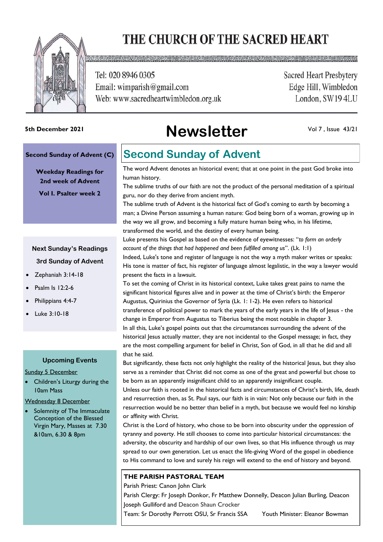# THE CHURCH OF THE SACRED HEART



Tel: 020 8946 0305 Email: wimparish@gmail.com Web: www.sacredheartwimbledon.org.uk **Sacred Heart Presbytery** Edge Hill, Wimbledon London, SW194LU

# **Newsletter 5th December 2021**

Vol 7 , Issue 43/21

### **Second Sunday of Advent (C)**

**Weekday Readings for 2nd week of Advent Vol I. Psalter week 2**

### **Next Sunday's Readings 3rd Sunday of Advent**

- Zephaniah 3:14-18
- Psalm Is 12:2-6
- Philippians 4:4-7
- Luke 3:10-18

### **Upcoming Events**

Sunday 5 December

Children's Liturgy during the 10am Mass

### Wednesday 8 December

Solemnity of The Immaculate Conception of the Blessed Virgin Mary, Masses at 7.30 &10am, 6.30 & 8pm

### **Second Sunday of Advent**

The word Advent denotes an historical event; that at one point in the past God broke into human history.

The sublime truths of our faith are not the product of the personal meditation of a spiritual guru, nor do they derive from ancient myth.

The sublime truth of Advent is the historical fact of God's coming to earth by becoming a man; a Divine Person assuming a human nature: God being born of a woman, growing up in the way we all grow, and becoming a fully mature human being who, in his lifetime, transformed the world, and the destiny of every human being.

Luke presents his Gospel as based on the evidence of eyewitnesses: "*to form an orderly account of the things that had happened and been fulfilled among us*". (Lk. 1:1)

Indeed, Luke's tone and register of language is not the way a myth maker writes or speaks: His tone is matter of fact, his register of language almost legalistic, in the way a lawyer would present the facts in a lawsuit.

To set the coming of Christ in its historical context, Luke takes great pains to name the significant historical figures alive and in power at the time of Christ's birth: the Emperor Augustus, Quirinius the Governor of Syria (Lk. 1: 1-2). He even refers to historical transference of political power to mark the years of the early years in the life of Jesus - the change in Emperor from Augustus to Tiberius being the most notable in chapter 3. In all this, Luke's gospel points out that the circumstances surrounding the advent of the historical Jesus actually matter, they are not incidental to the Gospel message; in fact, they are the most compelling argument for belief in Christ, Son of God, in all that he did and all that he said.

But significantly, these facts not only highlight the reality of the historical lesus, but they also serve as a reminder that Christ did not come as one of the great and powerful but chose to be born as an apparently insignificant child to an apparently insignificant couple.

Unless our faith is rooted in the historical facts and circumstances of Christ's birth, life, death and resurrection then, as St. Paul says, our faith is in vain: Not only because our faith in the resurrection would be no better than belief in a myth, but because we would feel no kinship or affinity with Christ.

Christ is the Lord of history, who chose to be born into obscurity under the oppression of tyranny and poverty. He still chooses to come into particular historical circumstances: the adversity, the obscurity and hardship of our own lives, so that His influence through us may spread to our own generation. Let us enact the life-giving Word of the gospel in obedience to His command to love and surely his reign will extend to the end of history and beyond.

### **THE PARISH PASTORAL TEAM**

Parish Priest: Canon John Clark

Parish Clergy: Fr Joseph Donkor, Fr Matthew Donnelly, Deacon Julian Burling, Deacon Joseph Gulliford and Deacon Shaun Crocker

Team: Sr Dorothy Perrott OSU, Sr Francis SSA Youth Minister: Eleanor Bowman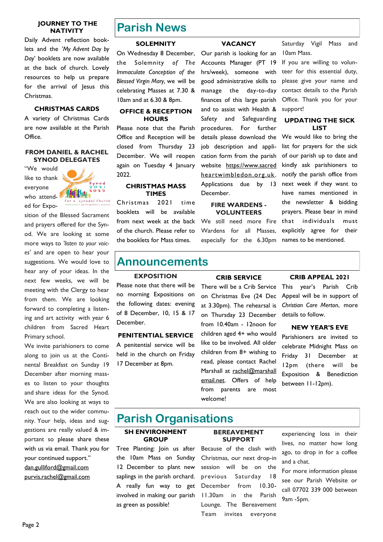### **JOURNEY TO THE NATIVITY**

Daily Advent reflection booklets and the *'My Advent Day by Day*' booklets are now available at the back of church. Lovely resources to help us prepare for the arrival of Jesus this Christmas.

### **CHRISTMAS CARDS**

A variety of Christmas Cards are now available at the Parish Office.

### **FROM DANIEL & RACHEL SYNOD DELEGATES**

"We would like to thank everyone who attended for Expo-



sition of the Blessed Sacrament and prayers offered for the Synod. We are looking at some more ways to *'listen to your voices'* and are open to hear your suggestions. We would love to hear any of your ideas. In the next few weeks, we will be meeting with the Clergy to hear from them. We are looking forward to completing a listening and art activity with year 6 children from Sacred Heart Primary school.

We invite parishioners to come along to join us at the Continental Breakfast on Sunday 19 December after morning masses to listen to your thoughts and share ideas for the Synod. We are also looking at ways to reach out to the wider community. Your help, ideas and suggestions are really valued & important so please share these with us via email. Thank you for your continued support." [dan.gulliford@gmail.com](mailto:dan.gulliford@gmail.com)  [purvis.rachel@gmail.com](mailto:purvis.rachel@gmail.com)

### **Parish News**

### **SOLEMNITY**

On Wednesday 8 December, the Solemnity *of The Immaculate Conception of the Blessed Virgin Mary,* we will be celebrating Masses at 7.30 & 10am and at 6.30 & 8pm.

### **OFFICE & RECEPTION HOURS**

Please note that the Parish Office and Reception will be closed from Thursday 23 December. We will reopen again on Tuesday 4 January 2022.

### **CHRISTMAS MASS TIMES**

Christmas 2021 time booklets will be available from next week at the back of the church. Please refer to the booklets for Mass times.

**VACANCY**

Our parish is looking for an Accounts Manager (PT 19 hrs/week), someone with good administrative skills to manage the day-to-day finances of this large parish and to assist with Health & Safety and Safeguarding procedures. For further details please download the job description and application form from the parish website https://www.sacred heartwimbledon.org.uk . Applications due by 13 December.

#### **FIRE WARDENS - VOLUNTEERS**

We still need more Fire Wardens for all Masses, especially for the 6.30pm

Saturday Vigil Mass and 10am Mass.

If you are willing to volunteer for this essential duty, please give your name and contact details to the Parish Office. Thank you for your support!

### **UPDATING THE SICK LIST**

We would like to bring the list for prayers for the sick of our parish up to date and kindly ask parishioners to notify the parish office from next week if they want to have names mentioned in the newsletter & bidding prayers. Please bear in mind that individuals must explicitly agree for their names to be mentioned.

### **Announcements**

### **EXPOSITION**

Please note that there will be no morning Expositions on the following dates: evening of 8 December, 10, 15 & 17 December.

**PENITENTIAL SERVICE** A penitential service will be held in the church on Friday 17 December at 8pm.

### **CRIB SERVICE**

There will be a Crib Service This year's Parish Crib on Christmas Eve (24 Dec at 3.30pm). The rehearsal is on Thursday 23 December from 10.40am - 12noon for children aged 4+ who would like to be involved. All older children from 8+ wishing to read, please contact Rachel Marshall at rachel@marshall email.net. Offers of help from parents are most welcome!

### **CRIB APPEAL 2021**

Appeal will be in support of *Christian Care Merton*, more details to follow.

### **NEW YEAR'S EVE**

Parishioners are invited to celebrate Midnight Mass on Friday 31 December at 12pm (there will be Exposition & Benediction between 11-12pm).

### **Parish Organisations**

### **SH ENVIRONMENT GROUP**

Tree Planting: Join us after the 10am Mass on Sunday 12 December to plant new saplings in the parish orchard. A really fun way to get involved in making our parish as green as possible!

### **BEREAVEMENT SUPPORT**

Because of the clash with Christmas, our next drop-in session will be on the previous Saturday 18 December from 10.30- 11.30am in the Parish Lounge. The Bereavement Team invites everyone

experiencing loss in their lives, no matter how long ago, to drop in for a coffee and a chat.

For more information please see our Parish Website or call 07702 339 000 between 9am -5pm.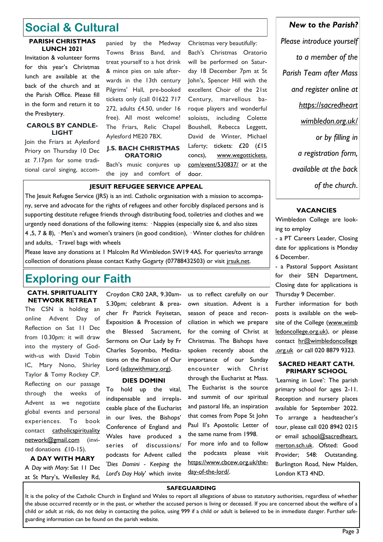## **Social & Cultural**

### **PARISH CHRISTMAS LUNCH 2021**

Invitation & volunteer forms for this year's Christmas lunch are available at the back of the church and at the Parish Office. Please fill in the form and return it to the Presbytery.

### **CAROLS BY CANDLE-LIGHT**

Join the Friars at Aylesford Priory on Thursday 10 Dec at 7.17pm for some traditional carol singing, accompanied by the Medway Towns Brass Band, and treat yourself to a hot drink & mince pies on sale afterwards in the 13th century Pilgrims' Hall, pre-booked tickets only (call 01622 717 272, adults £4.50, under 16 free). All most welcome! The Friars, Relic Chapel Aylesford ME20 7BX.

### **J.S. BACH CHRISTMAS ORATORIO**

Bach's music conjures up the joy and comfort of

will be performed on Saturday 18 December 7pm at St John's, Spencer Hill with the excellent Choir of the 21st Century, marvellous baroque players and wonderful soloists, including Colette Boushell, Rebecca Leggett, David de Winter, Michael Laferty; tickets: £20 (£15 concs), www.wegottickets. com/event/530837/ or at the door.

Christmas very beautifully: Bach's Christmas Oratorio

### **JESUIT REFUGEE SERVICE APPEAL**

The Jesuit Refugee Service (JRS) is an intl. Catholic organisation with a mission to accompany, serve and advocate for the rights of refugees and other forcibly displaced persons and is supporting destitute refugee friends through distributing food, toiletries and clothes and we urgently need donations of the following items: · Nappies (especially size 6, and also sizes 4 ,5, 7 & 8), · Men's and women's trainers (in good condition), · Winter clothes for children and adults, · Travel bags with wheels

Please leave any donations at 1 Malcolm Rd Wimbledon SW19 4AS. For queries/to arrange collection of donations please contact Kathy Gogarty (07788432503) or visit *irsuk.net.* 

## **Exploring our Faith**

**CATH. SPIRITUALITY NETWORK RETREAT**

The CSN is holding an online Advent Day of Reflection on Sat 11 Dec from 10.30pm: it will draw into the mystery of Godwith-us with David Tobin IC, Mary Nono, Shirley Taylor & Tomy Rockey CP. Reflecting on our passage through the weeks of Advent as we negotiate global events and personal experiences. To book contact catholicspirituality [network@gmail.com](mailto:catholicspiritualitynetwork@gmail.com) (invited donations £10-15).

**A DAY WITH MARY** A *Day with Mary:* Sat 11 Dec at St Mary's, Wellesley Rd,

Croydon CR0 2AR, 9.30am-5.30pm; celebrant & preacher Fr Patrick Feyisetan, Exposition & Procession of the Blessed Sacrament, Sermons on Our Lady by Fr Charles Soyombo, Meditations on the Passion of Our Lord (adaywithmary.org).

### **DIES DOMINI**

To hold up the vital, indispensable and irreplaceable place of the Eucharist in our lives, the Bishops' Conference of England and Wales have produced a series of discussions/ podcasts for Advent called *'Dies Domini - Keeping the Lord's Day Holy'* which invite

us to reflect carefully on our own situation. Advent is a season of peace and reconciliation in which we prepare for the coming of Christ at Christmas. The Bishops have spoken recently about the importance of our Sunday encounter with Christ through the Eucharist at Mass. The Eucharist is the source and summit of our spiritual and pastoral life, an inspiration that comes from Pope St John Paul II's Apostolic Letter of the same name from 1998. For more info and to follow the podcasts please visit https://www.cbcew.org.uk/the-

### *New to the Parish?*

*Please introduce yourself to a member of the Parish Team after Mass and register online at https://sacredheart wimbledon.org.uk/ or by filling in a registration form, available at the back of the church*.

### **VACANCIES**

Wimbledon College are looking to employ

- a PT Careers Leader, Closing date for applications is Monday 6 December.

- a Pastoral Support Assistant for their SEN Department, Closing date for applications is Thursday 9 December.

Further information for both posts is available on the website of the College (www.wimb [ledoncollege.org.uk\),](http://www.wimbledoncollege.org.uk/) or please contact hr@wimbledoncollege [.org.uk](mailto:hr@wimbledoncollege.org.uk) or call 020 8879 9323.

#### **SACRED HEART CATH. PRIMARY SCHOOL**

'Learning in Love': The parish primary school for ages 2-11. Reception and nursery places available for September 2022. To arrange a headteacher's tour, please call 020 8942 0215 or email school@sacredheart. merton.sch.uk. Ofsted: Good Provider; S48: Outstanding. Burlington Road, New Malden, London KT3 4ND.

### **SAFEGUARDING**

day-of-the-lord/.

It is the policy of the Catholic Church in England and Wales to report all allegations of abuse to statutory authorities, regardless of whether the abuse occurred recently or in the past, or whether the accused person is living or deceased. If you are concerned about the welfare of a child or adult at risk, do not delay in contacting the police, using 999 if a child or adult is believed to be in immediate danger. Further safeguarding information can be found on the parish website.